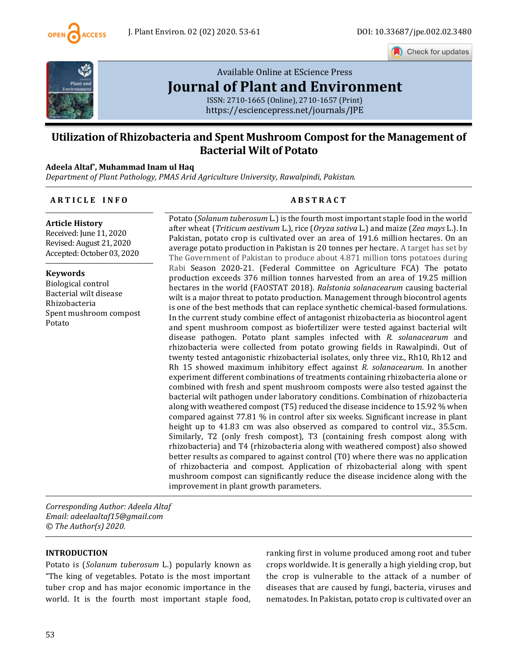

Check for updates



# [Available Online at EScience Press](https://esciencepress.net/journals/JPE) **[Journal of Plant and Environment](https://esciencepress.net/journals/JPE)**

ISSN: 2710-1665 (Online), 2710-1657 (Print) <https://esciencepress.net/journals/JPE>

# **Utilization of Rhizobacteria and Spent Mushroom Compost for the Management of Bacterial Wilt of Potato**

## **Adeela Altaf\* , Muhammad Inam ul Haq**

*Department of Plant Pathology, PMAS Arid Agriculture University, Rawalpindi, Pakistan.*

#### **A R T I C L E I N F O A B S T R A C T**

**Article History** Received: June 11, 2020 Revised: August 21, 2020 Accepted: October 03, 2020

#### **Keywords**

Biological control Bacterial wilt disease Rhizobacteria Spent mushroom compost Potato

Potato (*Solanum tuberosum* L.) is the fourth most important staple food in the world after wheat (*Triticum aestivum* L.), rice (*Oryza sativa* L.) and maize (*Zea mays* L.). In Pakistan, potato crop is cultivated over an area of 191.6 million hectares. On an average potato production in Pakistan is 20 tonnes per hectare. A target has set by The Government of Pakistan to produce about 4.871 million tons potatoes during Rabi Season 2020-21. (Federal Committee on Agriculture FCA) The potato production exceeds 376 million tonnes harvested from an area of 19.25 million hectares in the world (FAOSTAT 2018). *Ralstonia solanacearum* causing bacterial wilt is a major threat to potato production. Management through biocontrol agents is one of the best methods that can replace synthetic chemical-based formulations. In the current study combine effect of antagonist rhizobacteria as biocontrol agent and spent mushroom compost as biofertilizer were tested against bacterial wilt disease pathogen. Potato plant samples infected with *R. solanacearum* and rhizobacteria were collected from potato growing fields in Rawalpindi. Out of twenty tested antagonistic rhizobacterial isolates, only three viz., Rh10, Rh12 and Rh 15 showed maximum inhibitory effect against *R. solanacearum*. In another experiment different combinations of treatments containing rhizobacteria alone or combined with fresh and spent mushroom composts were also tested against the bacterial wilt pathogen under laboratory conditions. Combination of rhizobacteria along with weathered compost (T5) reduced the disease incidence to 15.92 % when compared against 77.81 % in control after six weeks. Significant increase in plant height up to 41.83 cm was also observed as compared to control viz., 35.5cm. Similarly, T2 (only fresh compost), T3 (containing fresh compost along with rhizobacteria) and T4 (rhizobacteria along with weathered compost) also showed better results as compared to against control (T0) where there was no application of rhizobacteria and compost. Application of rhizobacterial along with spent mushroom compost can significantly reduce the disease incidence along with the improvement in plant growth parameters.

*Corresponding Author: Adeela Altaf Email: adeelaaltaf15@gmail.com © The Author(s) 2020.*

#### **INTRODUCTION**

Potato is (*Solanum tuberosum* L.) popularly known as "The king of vegetables. Potato is the most important tuber crop and has major economic importance in the world. It is the fourth most important staple food, ranking first in volume produced among root and tuber crops worldwide. It is generally a high yielding crop, but the crop is vulnerable to the attack of a number of diseases that are caused by fungi, bacteria, viruses and nematodes. In Pakistan, potato crop is cultivated over an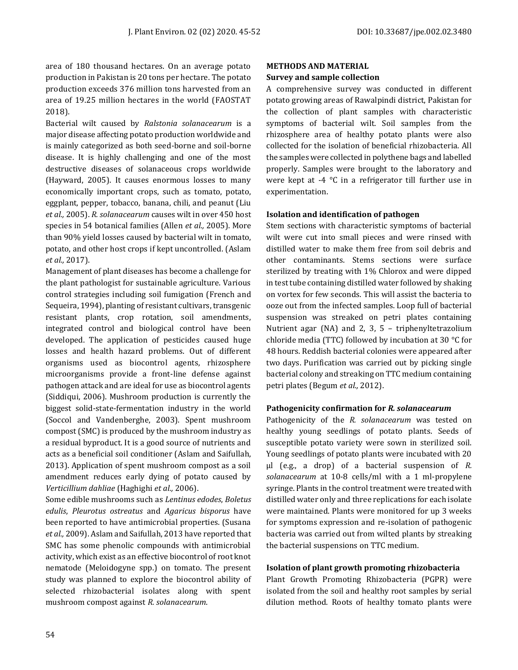area of 180 thousand hectares. On an average potato production in Pakistan is 20 tons per hectare. The potato production exceeds 376 million tons harvested from an area of 19.25 million hectares in the world (FAOSTAT 2018).

Bacterial wilt caused by *Ralstonia solanacearum* is a major disease affecting potato production worldwide and is mainly categorized as both seed-borne and soil-borne disease. It is highly challenging and one of the most destructive diseases of solanaceous crops worldwide (Hayward, 2005). It causes enormous losses to many economically important crops, such as tomato, potato, eggplant, pepper, tobacco, banana, chili, and peanut (Liu *et al.,* 2005). *R. solanacearum* causes wilt in over 450 host species in 54 botanical families (Allen *et al.,* 2005). More than 90% yield losses caused by bacterial wilt in tomato, potato, and other host crops if kept uncontrolled. (Aslam *et al.,* 2017).

Management of plant diseases has become a challenge for the plant pathologist for sustainable agriculture. Various control strategies including soil fumigation (French and Sequeira, 1994), planting of resistant cultivars, transgenic resistant plants, crop rotation, soil amendments, integrated control and biological control have been developed. The application of pesticides caused huge losses and health hazard problems. Out of different organisms used as biocontrol agents, rhizosphere microorganisms provide a front-line defense against pathogen attack and are ideal for use as biocontrol agents (Siddiqui, 2006). Mushroom production is currently the biggest solid-state-fermentation industry in the world (Soccol and Vandenberghe, 2003). Spent mushroom compost (SMC) is produced by the mushroom industry as a residual byproduct. It is a good source of nutrients and acts as a beneficial soil conditioner (Aslam and Saifullah, 2013). Application of spent mushroom compost as a soil amendment reduces early dying of potato caused by *Verticillium dahliae* (Haghighi *et al.,* 2006).

Some edible mushrooms such as *Lentinus edodes*, *Boletus edulis*, *Pleurotus ostreatus* and *Agaricus bisporus* have been reported to have antimicrobial properties. (Susana *et al.,* 2009). Aslam and Saifullah, 2013 have reported that SMC has some phenolic compounds with antimicrobial activity, which exist as an effective biocontrol of root knot nematode (Meloidogyne spp.) on tomato. The present study was planned to explore the biocontrol ability of selected rhizobacterial isolates along with spent mushroom compost against *R. solanacearum*.

# **METHODS AND MATERIAL**

## **Survey and sample collection**

A comprehensive survey was conducted in different potato growing areas of Rawalpindi district, Pakistan for the collection of plant samples with characteristic symptoms of bacterial wilt. Soil samples from the rhizosphere area of healthy potato plants were also collected for the isolation of beneficial rhizobacteria. All the samples were collected in polythene bags and labelled properly. Samples were brought to the laboratory and were kept at -4 °C in a refrigerator till further use in experimentation.

## **Isolation and identification of pathogen**

Stem sections with characteristic symptoms of bacterial wilt were cut into small pieces and were rinsed with distilled water to make them free from soil debris and other contaminants. Stems sections were surface sterilized by treating with 1% Chlorox and were dipped in test tube containing distilled water followed by shaking on vortex for few seconds. This will assist the bacteria to ooze out from the infected samples. Loop full of bacterial suspension was streaked on petri plates containing Nutrient agar (NA) and 2, 3, 5 – triphenyltetrazolium chloride media (TTC) followed by incubation at 30 °C for 48 hours. Reddish bacterial colonies were appeared after two days. Purification was carried out by picking single bacterial colony and streaking on TTC medium containing petri plates (Begum *et al.,* 2012).

#### **Pathogenicity confirmation for** *R. solanacearum*

Pathogenicity of the *R. solanacearum* was tested on healthy young seedlings of potato plants. Seeds of susceptible potato variety were sown in sterilized soil. Young seedlings of potato plants were incubated with 20 µl (e.g., a drop) of a bacterial suspension of *R. solanacearum* at 10-8 cells/ml with a 1 ml-propylene syringe. Plants in the control treatment were treated with distilled water only and three replications for each isolate were maintained. Plants were monitored for up 3 weeks for symptoms expression and re-isolation of pathogenic bacteria was carried out from wilted plants by streaking the bacterial suspensions on TTC medium.

# **Isolation of plant growth promoting rhizobacteria**

Plant Growth Promoting Rhizobacteria (PGPR) were isolated from the soil and healthy root samples by serial dilution method. Roots of healthy tomato plants were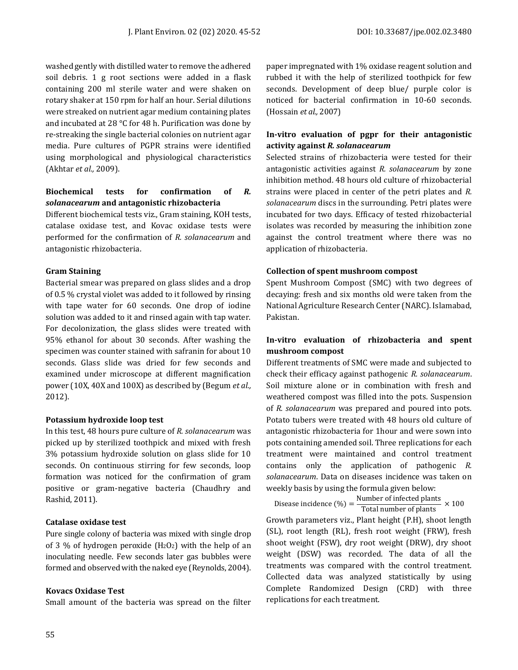washed gently with distilled water to remove the adhered soil debris. 1 g root sections were added in a flask containing 200 ml sterile water and were shaken on rotary shaker at 150 rpm for half an hour. Serial dilutions were streaked on nutrient agar medium containing plates and incubated at 28 °C for 48 h. Purification was done by re-streaking the single bacterial colonies on nutrient agar media. Pure cultures of PGPR strains were identified using morphological and physiological characteristics (Akhtar *et al.,* 2009).

# **Biochemical tests for confirmation of** *R. solanacearum* **and antagonistic rhizobacteria**

Different biochemical tests viz., Gram staining, KOH tests, catalase oxidase test, and Kovac oxidase tests were performed for the confirmation of *R. solanacearum* and antagonistic rhizobacteria.

#### **Gram Staining**

Bacterial smear was prepared on glass slides and a drop of 0.5 % crystal violet was added to it followed by rinsing with tape water for 60 seconds. One drop of iodine solution was added to it and rinsed again with tap water. For decolonization, the glass slides were treated with 95% ethanol for about 30 seconds. After washing the specimen was counter stained with safranin for about 10 seconds. Glass slide was dried for few seconds and examined under microscope at different magnification power (10X, 40X and 100X) as described by (Begum *et al.,* 2012).

#### **Potassium hydroxide loop test**

In this test, 48 hours pure culture of *R. solanacearum* was picked up by sterilized toothpick and mixed with fresh 3% potassium hydroxide solution on glass slide for 10 seconds. On continuous stirring for few seconds, loop formation was noticed for the confirmation of gram positive or gram-negative bacteria (Chaudhry and Rashid, 2011).

#### **Catalase oxidase test**

Pure single colony of bacteria was mixed with single drop of 3 % of hydrogen peroxide  $(H_2O_2)$  with the help of an inoculating needle. Few seconds later gas bubbles were formed and observed with the naked eye (Reynolds, 2004).

#### **Kovacs Oxidase Test**

Small amount of the bacteria was spread on the filter

paper impregnated with 1% oxidase reagent solution and rubbed it with the help of sterilized toothpick for few seconds. Development of deep blue/ purple color is noticed for bacterial confirmation in 10-60 seconds. (Hossain *et al.,* 2007)

### **In-vitro evaluation of pgpr for their antagonistic activity against** *R. solanacearum*

Selected strains of rhizobacteria were tested for their antagonistic activities against *R. solanacearum* by zone inhibition method. 48 hours old culture of rhizobacterial strains were placed in center of the petri plates and *R. solanacearum* discs in the surrounding. Petri plates were incubated for two days. Efficacy of tested rhizobacterial isolates was recorded by measuring the inhibition zone against the control treatment where there was no application of rhizobacteria.

#### **Collection of spent mushroom compost**

Spent Mushroom Compost (SMC) with two degrees of decaying: fresh and six months old were taken from the National Agriculture Research Center (NARC). Islamabad, Pakistan.

# **In-vitro evaluation of rhizobacteria and spent mushroom compost**

Different treatments of SMC were made and subjected to check their efficacy against pathogenic *R. solanacearum*. Soil mixture alone or in combination with fresh and weathered compost was filled into the pots. Suspension of *R. solanacearum* was prepared and poured into pots. Potato tubers were treated with 48 hours old culture of antagonistic rhizobacteria for 1hour and were sown into pots containing amended soil. Three replications for each treatment were maintained and control treatment contains only the application of pathogenic *R. solanacearum*. Data on diseases incidence was taken on weekly basis by using the formula given below:

Disease incidence  $(\%) = \frac{\text{Number of infected plants}}{\text{The total of the water}}$  $\frac{20}{\text{Total number of plants}} \times 100$ Growth parameters viz., Plant height (P.H), shoot length (SL), root length (RL), fresh root weight (FRW), fresh shoot weight (FSW), dry root weight (DRW), dry shoot weight (DSW) was recorded. The data of all the treatments was compared with the control treatment. Collected data was analyzed statistically by using Complete Randomized Design (CRD) with three replications for each treatment.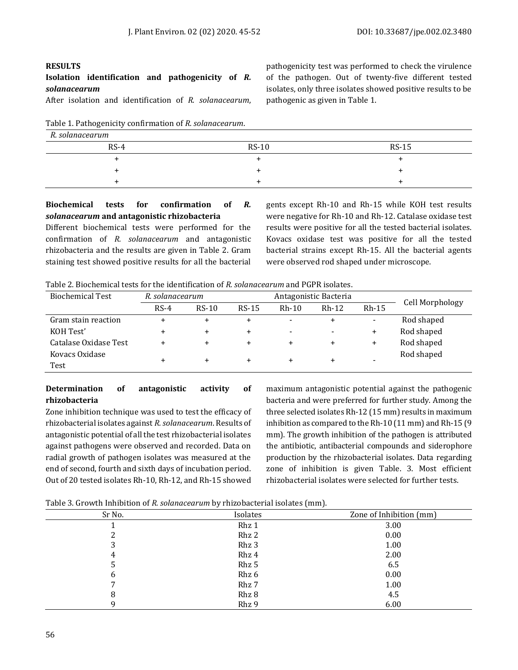#### **RESULTS**

# **Isolation identification and pathogenicity of** *R. solanacearum*

After isolation and identification of *R. solanacearum*,

Table 1. Pathogenicity confirmation of *R. solanacearum*.

pathogenicity test was performed to check the virulence of the pathogen. Out of twenty-five different tested isolates, only three isolates showed positive results to be pathogenic as given in Table 1.

| R. solanacearum |         |         |
|-----------------|---------|---------|
| $RS-4$          | $RS-10$ | $RS-15$ |
|                 |         |         |
|                 |         |         |
|                 |         |         |

# **Biochemical tests for confirmation of** *R. solanacearum* **and antagonistic rhizobacteria**

Different biochemical tests were performed for the confirmation of *R. solanacearum* and antagonistic rhizobacteria and the results are given in Table 2. Gram staining test showed positive results for all the bacterial gents except Rh-10 and Rh-15 while KOH test results were negative for Rh-10 and Rh-12. Catalase oxidase test results were positive for all the tested bacterial isolates. Kovacs oxidase test was positive for all the tested bacterial strains except Rh-15. All the bacterial agents were observed rod shaped under microscope.

Table 2. Biochemical tests for the identification of *R. solanacearum* and PGPR isolates.

| <b>Biochemical Test</b> | Antagonistic Bacteria<br>R. solanacearum |         |           |                          |                          |                |                 |
|-------------------------|------------------------------------------|---------|-----------|--------------------------|--------------------------|----------------|-----------------|
|                         | $RS-4$                                   | $RS-10$ | $RS-15$   | $Rh-10$                  | $Rh-12$                  | $Rh-15$        | Cell Morphology |
| Gram stain reaction     | +                                        |         |           |                          | ÷                        | $\blacksquare$ | Rod shaped      |
| KOH Test'               | +                                        | +       | $\ddot{}$ | $\overline{\phantom{0}}$ | $\overline{\phantom{a}}$ | $\ddot{}$      | Rod shaped      |
| Catalase Oxidase Test   | +                                        | +       | $\ddot{}$ | $\ddot{}$                | ÷                        | $\ddot{}$      | Rod shaped      |
| Kovacs Oxidase<br>Test  | +                                        | ÷       | $\div$    |                          | +                        | -              | Rod shaped      |

#### **Determination of antagonistic activity of rhizobacteria**

Zone inhibition technique was used to test the efficacy of rhizobacterial isolates against *R. solanacearum*. Results of antagonistic potential of all the test rhizobacterial isolates against pathogens were observed and recorded. Data on radial growth of pathogen isolates was measured at the end of second, fourth and sixth days of incubation period. Out of 20 tested isolates Rh-10, Rh-12, and Rh-15 showed

maximum antagonistic potential against the pathogenic bacteria and were preferred for further study. Among the three selected isolates Rh-12 (15 mm) results in maximum inhibition as compared to the Rh-10 (11 mm) and Rh-15 (9 mm). The growth inhibition of the pathogen is attributed the antibiotic, antibacterial compounds and siderophore production by the rhizobacterial isolates. Data regarding zone of inhibition is given Table. 3. Most efficient rhizobacterial isolates were selected for further tests.

Table 3. Growth Inhibition of *R. solanacearum* by rhizobacterial isolates (mm).

| Sr No. | Isolates | Zone of Inhibition (mm) |
|--------|----------|-------------------------|
|        | Rhz 1    | 3.00                    |
|        | Rhz 2    | 0.00                    |
| 3      | Rhz 3    | 1.00                    |
| 4      | Rhz 4    | 2.00                    |
| 5      | Rhz 5    | 6.5                     |
| 6      | Rhz 6    | 0.00                    |
|        | Rhz 7    | 1.00                    |
| 8      | Rhz 8    | 4.5                     |
|        | Rhz 9    | 6.00                    |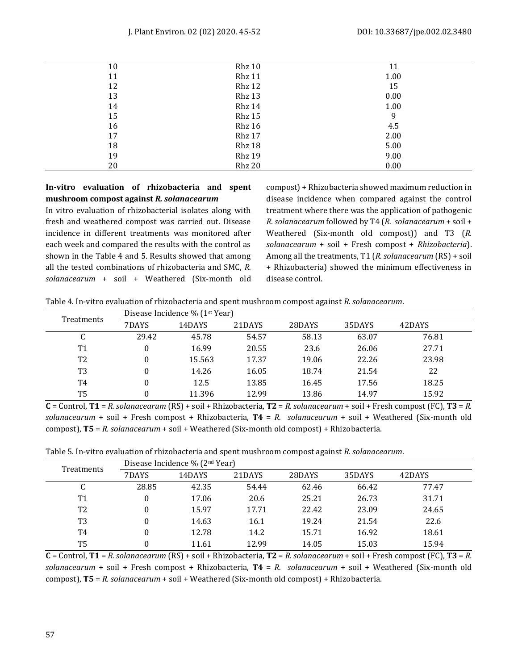| 10 | Rhz 10 | 11   |
|----|--------|------|
| 11 | Rhz 11 | 1.00 |
| 12 | Rhz 12 | 15   |
| 13 | Rhz 13 | 0.00 |
| 14 | Rhz 14 | 1.00 |
| 15 | Rhz 15 | 9    |
| 16 | Rhz 16 | 4.5  |
| 17 | Rhz 17 | 2.00 |
| 18 | Rhz 18 | 5.00 |
| 19 | Rhz 19 | 9.00 |
| 20 | Rhz 20 | 0.00 |

# **In-vitro evaluation of rhizobacteria and spent mushroom compost against** *R. solanacearum*

In vitro evaluation of rhizobacterial isolates along with fresh and weathered compost was carried out. Disease incidence in different treatments was monitored after each week and compared the results with the control as shown in the Table 4 and 5. Results showed that among all the tested combinations of rhizobacteria and SMC, *R. solanacearum* + soil + Weathered (Six-month old compost) + Rhizobacteria showed maximum reduction in disease incidence when compared against the control treatment where there was the application of pathogenic *R. solanacearum* followed by T4 (*R. solanacearum* + soil + Weathered (Six-month old compost)) and T3 (*R. solanacearum* + soil + Fresh compost + *Rhizobacteria*). Among all the treatments, T1 (*R. solanacearum* (RS) + soil + Rhizobacteria) showed the minimum effectiveness in disease control.

Table 4. In-vitro evaluation of rhizobacteria and spent mushroom compost against *R. solanacearum*.

| Treatments | Disease Incidence % (1 <sup>st</sup> Year) |        |        |        |        |        |       |  |
|------------|--------------------------------------------|--------|--------|--------|--------|--------|-------|--|
|            | 7DAYS                                      | 14DAYS | 21DAYS | 28DAYS | 35DAYS | 42DAYS |       |  |
|            | C                                          | 29.42  | 45.78  | 54.57  | 58.13  | 63.07  | 76.81 |  |
|            | T <sub>1</sub>                             | 0      | 16.99  | 20.55  | 23.6   | 26.06  | 27.71 |  |
|            | T <sub>2</sub>                             | 0      | 15.563 | 17.37  | 19.06  | 22.26  | 23.98 |  |
|            | T3                                         |        | 14.26  | 16.05  | 18.74  | 21.54  | 22    |  |
|            | T4                                         |        | 12.5   | 13.85  | 16.45  | 17.56  | 18.25 |  |
|            | T5                                         |        | 11.396 | 12.99  | 13.86  | 14.97  | 15.92 |  |

**C** = Control, **T1** = *R. solanacearum* (RS) + soil + Rhizobacteria, **T2** = *R. solanacearum* + soil + Fresh compost (FC), **T3** = *R. solanacearum* + soil + Fresh compost + Rhizobacteria, **T4** = *R. solanacearum* + soil + Weathered (Six-month old compost), **T5** = *R. solanacearum* + soil + Weathered (Six-month old compost) + Rhizobacteria.

| Table 5. In-vitro evaluation of rhizobacteria and spent mushroom compost against R. solanacearum. |  |  |
|---------------------------------------------------------------------------------------------------|--|--|
|                                                                                                   |  |  |

| Treatments | Disease Incidence % (2 <sup>nd</sup> Year) |        |        |        |        |        |  |  |
|------------|--------------------------------------------|--------|--------|--------|--------|--------|--|--|
|            | 7DAYS                                      | 14DAYS | 21DAYS | 28DAYS | 35DAYS | 42DAYS |  |  |
| C          | 28.85                                      | 42.35  | 54.44  | 62.46  | 66.42  | 77.47  |  |  |
| Τ1         |                                            | 17.06  | 20.6   | 25.21  | 26.73  | 31.71  |  |  |
| T2         |                                            | 15.97  | 17.71  | 22.42  | 23.09  | 24.65  |  |  |
| T3         |                                            | 14.63  | 16.1   | 19.24  | 21.54  | 22.6   |  |  |
| T4         |                                            | 12.78  | 14.2   | 15.71  | 16.92  | 18.61  |  |  |
| T5         |                                            | 11.61  | 12.99  | 14.05  | 15.03  | 15.94  |  |  |

**C** = Control, **T1** = *R. solanacearum* (RS) + soil + Rhizobacteria, **T2** = *R. solanacearum* + soil + Fresh compost (FC), **T3** = *R. solanacearum* + soil + Fresh compost + Rhizobacteria, **T4** = *R. solanacearum* + soil + Weathered (Six-month old compost), **T5** = *R. solanacearum* + soil + Weathered (Six-month old compost) + Rhizobacteria.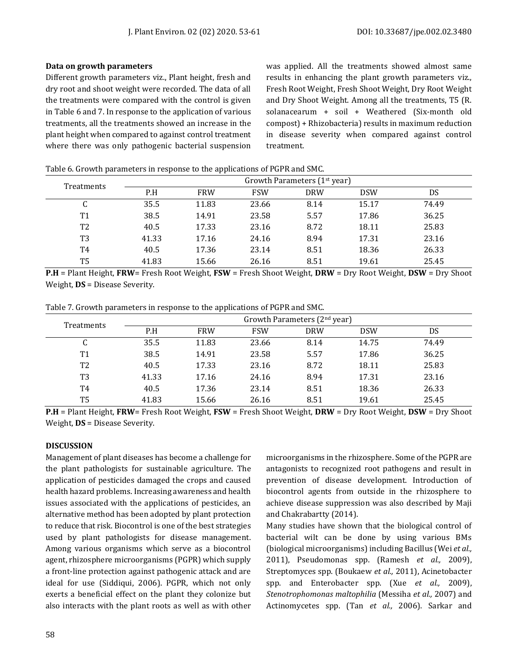#### **Data on growth parameters**

Different growth parameters viz., Plant height, fresh and dry root and shoot weight were recorded. The data of all the treatments were compared with the control is given in Table 6 and 7. In response to the application of various treatments, all the treatments showed an increase in the plant height when compared to against control treatment where there was only pathogenic bacterial suspension was applied. All the treatments showed almost same results in enhancing the plant growth parameters viz., Fresh Root Weight, Fresh Shoot Weight, Dry Root Weight and Dry Shoot Weight. Among all the treatments, T5 (R. solanacearum + soil + Weathered (Six-month old compost) + Rhizobacteria) results in maximum reduction in disease severity when compared against control treatment.

|                   | Growth Parameters (1 <sup>st</sup> year) |            |            |            |            |       |  |  |
|-------------------|------------------------------------------|------------|------------|------------|------------|-------|--|--|
| <b>Treatments</b> | P.H                                      | <b>FRW</b> | <b>FSW</b> | <b>DRW</b> | <b>DSW</b> | DS    |  |  |
| C                 | 35.5                                     | 11.83      | 23.66      | 8.14       | 15.17      | 74.49 |  |  |
| T <sub>1</sub>    | 38.5                                     | 14.91      | 23.58      | 5.57       | 17.86      | 36.25 |  |  |
| T <sub>2</sub>    | 40.5                                     | 17.33      | 23.16      | 8.72       | 18.11      | 25.83 |  |  |
| T3                | 41.33                                    | 17.16      | 24.16      | 8.94       | 17.31      | 23.16 |  |  |
| T4                | 40.5                                     | 17.36      | 23.14      | 8.51       | 18.36      | 26.33 |  |  |
| T <sub>5</sub>    | 41.83                                    | 15.66      | 26.16      | 8.51       | 19.61      | 25.45 |  |  |

Table 6. Growth parameters in response to the applications of PGPR and SMC.

**P.H** = Plant Height, **FRW**= Fresh Root Weight, **FSW** = Fresh Shoot Weight, **DRW** = Dry Root Weight, **DSW** = Dry Shoot Weight, **DS** = Disease Severity.

| Table 7. Growth parameters in response to the applications of PGPR and SMC. |
|-----------------------------------------------------------------------------|
|-----------------------------------------------------------------------------|

| <b>Treatments</b> | Growth Parameters $(2nd year)$ |            |            |            |            |       |  |
|-------------------|--------------------------------|------------|------------|------------|------------|-------|--|
|                   | P.H                            | <b>FRW</b> | <b>FSW</b> | <b>DRW</b> | <b>DSW</b> | DS    |  |
| C                 | 35.5                           | 11.83      | 23.66      | 8.14       | 14.75      | 74.49 |  |
| T <sub>1</sub>    | 38.5                           | 14.91      | 23.58      | 5.57       | 17.86      | 36.25 |  |
| T <sub>2</sub>    | 40.5                           | 17.33      | 23.16      | 8.72       | 18.11      | 25.83 |  |
| T <sub>3</sub>    | 41.33                          | 17.16      | 24.16      | 8.94       | 17.31      | 23.16 |  |
| T4                | 40.5                           | 17.36      | 23.14      | 8.51       | 18.36      | 26.33 |  |
| T <sub>5</sub>    | 41.83                          | 15.66      | 26.16      | 8.51       | 19.61      | 25.45 |  |

**P.H** = Plant Height, **FRW**= Fresh Root Weight, **FSW** = Fresh Shoot Weight, **DRW** = Dry Root Weight, **DSW** = Dry Shoot Weight, **DS** = Disease Severity.

#### **DISCUSSION**

Management of plant diseases has become a challenge for the plant pathologists for sustainable agriculture. The application of pesticides damaged the crops and caused health hazard problems. Increasing awareness and health issues associated with the applications of pesticides, an alternative method has been adopted by plant protection to reduce that risk. Biocontrol is one of the best strategies used by plant pathologists for disease management. Among various organisms which serve as a biocontrol agent, rhizosphere microorganisms (PGPR) which supply a front-line protection against pathogenic attack and are ideal for use (Siddiqui, 2006). PGPR, which not only exerts a beneficial effect on the plant they colonize but also interacts with the plant roots as well as with other microorganisms in the rhizosphere. Some of the PGPR are antagonists to recognized root pathogens and result in prevention of disease development. Introduction of biocontrol agents from outside in the rhizosphere to achieve disease suppression was also described by Maji and Chakrabartty (2014).

Many studies have shown that the biological control of bacterial wilt can be done by using various BMs (biological microorganisms) including Bacillus (Wei *et al.,* 2011), Pseudomonas spp. (Ramesh *et al.,* 2009), Streptomyces spp. (Boukaew *et al.,* 2011), Acinetobacter spp. and Enterobacter spp. (Xue *et al.,* 2009), *Stenotrophomonas maltophilia* (Messiha *et al.,* 2007) and Actinomycetes spp. (Tan *et al.,* 2006). Sarkar and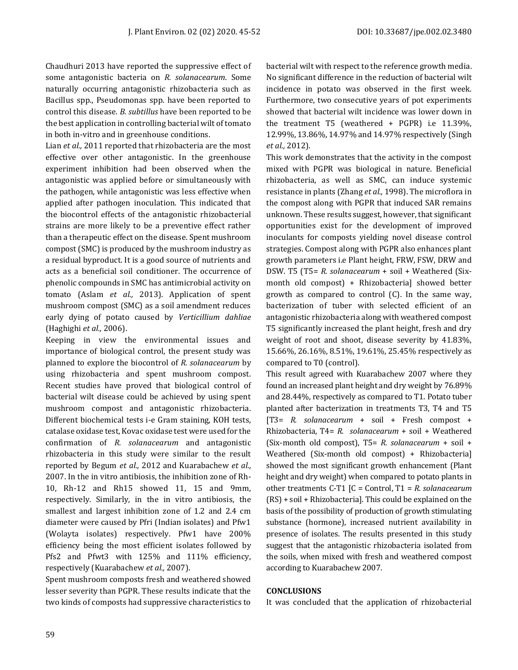Chaudhuri 2013 have reported the suppressive effect of some antagonistic bacteria on *R. solanacearum*. Some naturally occurring antagonistic rhizobacteria such as Bacillus spp., Pseudomonas spp. have been reported to control this disease. *B. subtillus* have been reported to be the best application in controlling bacterial wilt of tomato in both in-vitro and in greenhouse conditions.

Lian *et al.,* 2011 reported that rhizobacteria are the most effective over other antagonistic. In the greenhouse experiment inhibition had been observed when the antagonistic was applied before or simultaneously with the pathogen, while antagonistic was less effective when applied after pathogen inoculation. This indicated that the biocontrol effects of the antagonistic rhizobacterial strains are more likely to be a preventive effect rather than a therapeutic effect on the disease. Spent mushroom compost (SMC) is produced by the mushroom industry as a residual byproduct. It is a good source of nutrients and acts as a beneficial soil conditioner. The occurrence of phenolic compounds in SMC has antimicrobial activity on tomato (Aslam *et al.,* 2013). Application of spent mushroom compost (SMC) as a soil amendment reduces early dying of potato caused by *Verticillium dahliae* (Haghighi *et al.,* 2006).

Keeping in view the environmental issues and importance of biological control, the present study was planned to explore the biocontrol of *R. solanacearum* by using rhizobacteria and spent mushroom compost. Recent studies have proved that biological control of bacterial wilt disease could be achieved by using spent mushroom compost and antagonistic rhizobacteria. Different biochemical tests i-e Gram staining, KOH tests, catalase oxidase test, Kovac oxidase test were used for the confirmation of *R. solanacearum* and antagonistic rhizobacteria in this study were similar to the result reported by Begum *et al.,* 2012 and Kuarabachew *et al.,* 2007. In the in vitro antibiosis, the inhibition zone of Rh-10, Rh-12 and Rh15 showed 11, 15 and 9mm, respectively. Similarly, in the in vitro antibiosis, the smallest and largest inhibition zone of 1.2 and 2.4 cm diameter were caused by Pfri (Indian isolates) and Pfw1 (Wolayta isolates) respectively. Pfw1 have 200% efficiency being the most efficient isolates followed by Pfs2 and Pfwt3 with 125% and 111% efficiency, respectively (Kuarabachew *et al.,* 2007).

Spent mushroom composts fresh and weathered showed lesser severity than PGPR. These results indicate that the two kinds of composts had suppressive characteristics to bacterial wilt with respect to the reference growth media. No significant difference in the reduction of bacterial wilt incidence in potato was observed in the first week. Furthermore, two consecutive years of pot experiments showed that bacterial wilt incidence was lower down in the treatment T5 (weathered + PGPR) i.e 11.39%, 12.99%, 13.86%, 14.97% and 14.97% respectively (Singh *et al.,* 2012).

This work demonstrates that the activity in the compost mixed with PGPR was biological in nature. Beneficial rhizobacteria, as well as SMC, can induce systemic resistance in plants (Zhang *et al.,* 1998). The microflora in the compost along with PGPR that induced SAR remains unknown. These results suggest, however, that significant opportunities exist for the development of improved inoculants for composts yielding novel disease control strategies. Compost along with PGPR also enhances plant growth parameters i.e Plant height, FRW, FSW, DRW and DSW. T5 (T5= *R. solanacearum* + soil + Weathered (Sixmonth old compost) + Rhizobacteria] showed better growth as compared to control (C). In the same way, bacterization of tuber with selected efficient of an antagonistic rhizobacteria along with weathered compost T5 significantly increased the plant height, fresh and dry weight of root and shoot, disease severity by 41.83%, 15.66%, 26.16%, 8.51%, 19.61%, 25.45% respectively as compared to T0 (control).

This result agreed with Kuarabachew 2007 where they found an increased plant height and dry weight by 76.89% and 28.44%, respectively as compared to T1. Potato tuber planted after bacterization in treatments T3, T4 and T5 [T3= *R. solanacearum* + soil + Fresh compost + Rhizobacteria, T4= *R. solanacearum* + soil + Weathered (Six-month old compost), T5= *R. solanacearum* + soil + Weathered (Six-month old compost) + Rhizobacteria] showed the most significant growth enhancement (Plant height and dry weight) when compared to potato plants in other treatments C-T1 [C = Control, T1 = *R. solanacearum* (RS) + soil + Rhizobacteria]. This could be explained on the basis of the possibility of production of growth stimulating substance (hormone), increased nutrient availability in presence of isolates. The results presented in this study suggest that the antagonistic rhizobacteria isolated from the soils, when mixed with fresh and weathered compost according to Kuarabachew 2007.

# **CONCLUSIONS**

It was concluded that the application of rhizobacterial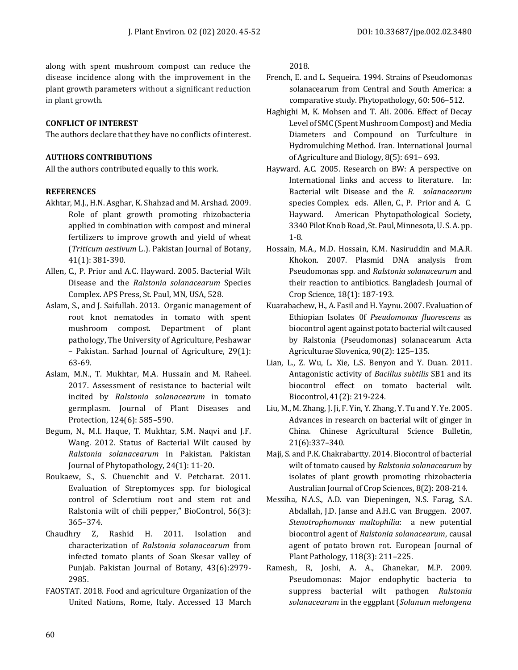along with spent mushroom compost can reduce the disease incidence along with the improvement in the plant growth parameters without a significant reduction in plant growth.

# **CONFLICT OF INTEREST**

The authors declare that they have no conflicts of interest.

# **AUTHORS CONTRIBUTIONS**

All the authors contributed equally to this work.

# **REFERENCES**

- Akhtar, M.J., H.N. Asghar, K. Shahzad and M. Arshad. 2009. Role of plant growth promoting rhizobacteria applied in combination with compost and mineral fertilizers to improve growth and yield of wheat (*Triticum aestivum* L.). Pakistan Journal of Botany, 41(1): 381-390.
- Allen, C., P. Prior and A.C. Hayward. 2005. Bacterial Wilt Disease and the *Ralstonia solanacearum* Species Complex. APS Press, St. Paul, MN, USA, 528.
- Aslam, S., and J. Saifullah. 2013. Organic management of root knot nematodes in tomato with spent mushroom compost. Department of plant pathology, The University of Agriculture, Peshawar – Pakistan. Sarhad Journal of Agriculture, 29(1): 63-69.
- Aslam, M.N., T. Mukhtar, M.A. Hussain and M. Raheel. 2017. Assessment of resistance to bacterial wilt incited by *Ralstonia solanacearum* in tomato germplasm. Journal of Plant Diseases and Protection, 124(6): 585–590.
- Begum, N., M.I. Haque, T. Mukhtar, S.M. Naqvi and J.F. Wang. 2012. Status of Bacterial Wilt caused by *Ralstonia solanacearum* in Pakistan. Pakistan Journal of Phytopathology, 24(1): 11-20.
- Boukaew, S., S. Chuenchit and V. Petcharat. 2011. Evaluation of Streptomyces spp. for biological control of Sclerotium root and stem rot and Ralstonia wilt of chili pepper," BioControl, 56(3): 365–374.
- Chaudhry Z, Rashid H. 2011. Isolation and characterization of *Ralstonia solanacearum* from infected tomato plants of Soan Skesar valley of Punjab. Pakistan Journal of Botany, 43(6):2979- 2985.
- FAOSTAT. 2018. Food and agriculture Organization of the United Nations, Rome, Italy. Accessed 13 March

2018.

- French, E. and L. Sequeira. 1994. Strains of Pseudomonas solanacearum from Central and South America: a comparative study. Phytopathology, 60: 506–512.
- Haghighi M, K. Mohsen and T. Ali. 2006. Effect of Decay Level of SMC (Spent Mushroom Compost) and Media Diameters and Compound on Turfculture in Hydromulching Method. Iran. International Journal of Agriculture and Biology, 8(5): 691– 693.
- Hayward. A.C. 2005. Research on BW: A perspective on International links and access to literature. In: Bacterial wilt Disease and the *R. solanacearum* species Complex. eds. Allen, C., P. Prior and A. C. Hayward. American Phytopathological Society, 3340 Pilot Knob Road, St. Paul, Minnesota, U. S. A. pp. 1-8.
- Hossain, M.A., M.D. Hossain, K.M. Nasiruddin and M.A.R. Khokon. 2007. Plasmid DNA analysis from Pseudomonas spp. and *Ralstonia solanacearum* and their reaction to antibiotics. Bangladesh Journal of Crop Science, 18(1): 187-193.
- Kuarabachew, H., A. Fasil and H. Yaynu. 2007. Evaluation of Ethiopian Isolates 0f *Pseudomonas fluorescens* as biocontrol agent against potato bacterial wilt caused by Ralstonia (Pseudomonas) solanacearum Acta Agriculturae Slovenica, 90(2): 125–135.
- Lian, L., Z. Wu, L. Xie, L.S. Benyon and Y. Duan. 2011. Antagonistic activity of *Bacillus subtilis* SB1 and its biocontrol effect on tomato bacterial wilt. Biocontrol, 41(2): 219-224.
- Liu, M., M. Zhang, J. Ji, F. Yin, Y. Zhang, Y. Tu and Y. Ye. 2005. Advances in research on bacterial wilt of ginger in China. Chinese Agricultural Science Bulletin, 21(6):337–340.
- Maji, S. and P.K. Chakrabartty. 2014. Biocontrol of bacterial wilt of tomato caused by *Ralstonia solanacearum* by isolates of plant growth promoting rhizobacteria Australian Journal of Crop Sciences, 8(2): 208-214.
- Messiha, N.A.S., A.D. van Diepeningen, N.S. Farag, S.A. Abdallah, J.D. Janse and A.H.C. van Bruggen. 2007. *Stenotrophomonas maltophilia*: a new potential biocontrol agent of *Ralstonia solanacearum*, causal agent of potato brown rot. European Journal of Plant Pathology, 118(3): 211–225.
- Ramesh, R, Joshi, A. A., Ghanekar, M.P. 2009. Pseudomonas: Major endophytic bacteria to suppress bacterial wilt pathogen *Ralstonia solanacearum* in the eggplant (*Solanum melongena*